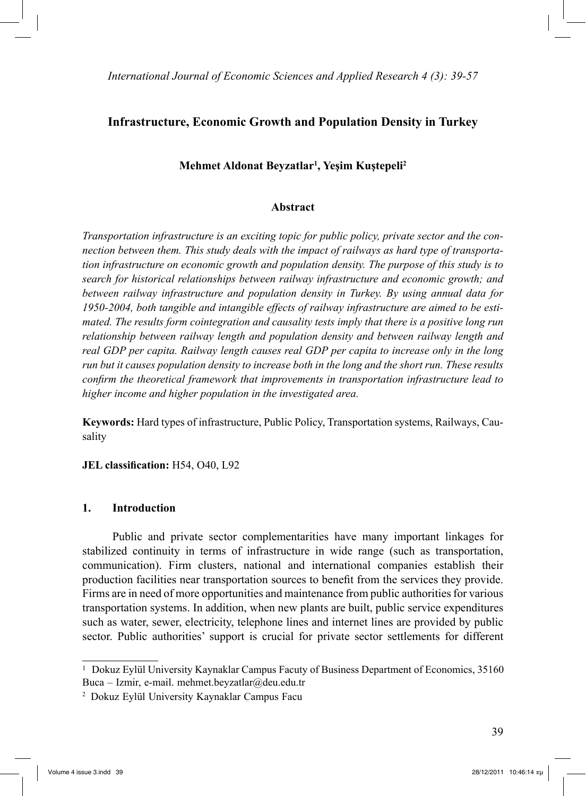# **Infrastructure, Economic Growth and Population Density in Turkey**

## **Mehmet Aldonat Beyzatlar1 , Yeşim Kuştepeli2**

#### **Abstract**

*Transportation infrastructure is an exciting topic for public policy, private sector and the connection between them. This study deals with the impact of railways as hard type of transportation infrastructure on economic growth and population density. The purpose of this study is to search for historical relationships between railway infrastructure and economic growth; and between railway infrastructure and population density in Turkey. By using annual data for 1950-2004, both tangible and intangible effects of railway infrastructure are aimed to be estimated. The results form cointegration and causality tests imply that there is a positive long run relationship between railway length and population density and between railway length and real GDP per capita. Railway length causes real GDP per capita to increase only in the long run but it causes population density to increase both in the long and the short run. These results confirm the theoretical framework that improvements in transportation infrastructure lead to higher income and higher population in the investigated area.* 

**Keywords:** Hard types of infrastructure, Public Policy, Transportation systems, Railways, Causality

**JEL classification:** H54, O40, L92

## **1. Introduction**

 Public and private sector complementarities have many important linkages for stabilized continuity in terms of infrastructure in wide range (such as transportation, communication). Firm clusters, national and international companies establish their production facilities near transportation sources to benefit from the services they provide. Firms are in need of more opportunities and maintenance from public authorities for various transportation systems. In addition, when new plants are built, public service expenditures such as water, sewer, electricity, telephone lines and internet lines are provided by public sector. Public authorities' support is crucial for private sector settlements for different

<sup>&</sup>lt;sup>1</sup> Dokuz Eylül University Kaynaklar Campus Facuty of Business Department of Economics, 35160 Buca – Izmir, e-mail. mehmet.beyzatlar@deu.edu.tr

<sup>2</sup> Dokuz Eylül University Kaynaklar Campus Facu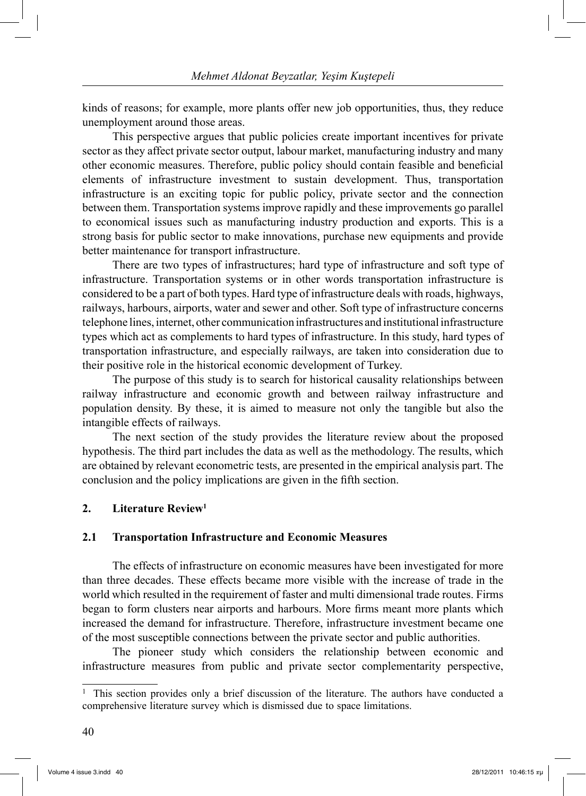kinds of reasons; for example, more plants offer new job opportunities, thus, they reduce unemployment around those areas.

 This perspective argues that public policies create important incentives for private sector as they affect private sector output, labour market, manufacturing industry and many other economic measures. Therefore, public policy should contain feasible and beneficial elements of infrastructure investment to sustain development. Thus, transportation infrastructure is an exciting topic for public policy, private sector and the connection between them. Transportation systems improve rapidly and these improvements go parallel to economical issues such as manufacturing industry production and exports. This is a strong basis for public sector to make innovations, purchase new equipments and provide better maintenance for transport infrastructure.

 There are two types of infrastructures; hard type of infrastructure and soft type of infrastructure. Transportation systems or in other words transportation infrastructure is considered to be a part of both types. Hard type of infrastructure deals with roads, highways, railways, harbours, airports, water and sewer and other. Soft type of infrastructure concerns telephone lines, internet, other communication infrastructures and institutional infrastructure types which act as complements to hard types of infrastructure. In this study, hard types of transportation infrastructure, and especially railways, are taken into consideration due to their positive role in the historical economic development of Turkey.

 The purpose of this study is to search for historical causality relationships between railway infrastructure and economic growth and between railway infrastructure and population density. By these, it is aimed to measure not only the tangible but also the intangible effects of railways.

 The next section of the study provides the literature review about the proposed hypothesis. The third part includes the data as well as the methodology. The results, which are obtained by relevant econometric tests, are presented in the empirical analysis part. The conclusion and the policy implications are given in the fifth section.

#### **2. Literature Review1**

#### **2.1 Transportation Infrastructure and Economic Measures**

 The effects of infrastructure on economic measures have been investigated for more than three decades. These effects became more visible with the increase of trade in the world which resulted in the requirement of faster and multi dimensional trade routes. Firms began to form clusters near airports and harbours. More firms meant more plants which increased the demand for infrastructure. Therefore, infrastructure investment became one of the most susceptible connections between the private sector and public authorities.

 The pioneer study which considers the relationship between economic and infrastructure measures from public and private sector complementarity perspective,

<sup>1</sup> This section provides only a brief discussion of the literature. The authors have conducted a comprehensive literature survey which is dismissed due to space limitations.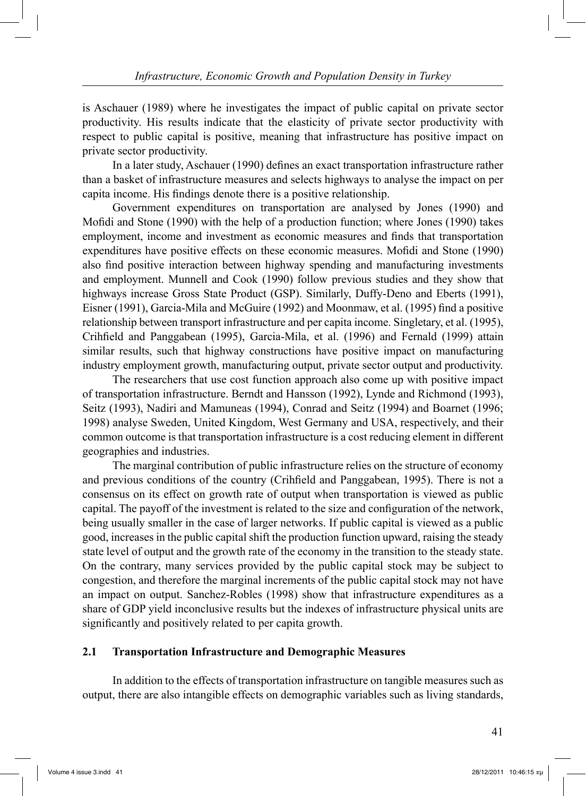is Aschauer (1989) where he investigates the impact of public capital on private sector productivity. His results indicate that the elasticity of private sector productivity with respect to public capital is positive, meaning that infrastructure has positive impact on private sector productivity.

 In a later study, Aschauer (1990) defines an exact transportation infrastructure rather than a basket of infrastructure measures and selects highways to analyse the impact on per capita income. His findings denote there is a positive relationship.

 Government expenditures on transportation are analysed by Jones (1990) and Mofidi and Stone (1990) with the help of a production function; where Jones (1990) takes employment, income and investment as economic measures and finds that transportation expenditures have positive effects on these economic measures. Mofidi and Stone (1990) also find positive interaction between highway spending and manufacturing investments and employment. Munnell and Cook (1990) follow previous studies and they show that highways increase Gross State Product (GSP). Similarly, Duffy-Deno and Eberts (1991), Eisner (1991), Garcia-Mila and McGuire (1992) and Moonmaw, et al. (1995) find a positive relationship between transport infrastructure and per capita income. Singletary, et al. (1995), Crihfield and Panggabean (1995), Garcia-Mila, et al. (1996) and Fernald (1999) attain similar results, such that highway constructions have positive impact on manufacturing industry employment growth, manufacturing output, private sector output and productivity.

 The researchers that use cost function approach also come up with positive impact of transportation infrastructure. Berndt and Hansson (1992), Lynde and Richmond (1993), Seitz (1993), Nadiri and Mamuneas (1994), Conrad and Seitz (1994) and Boarnet (1996; 1998) analyse Sweden, United Kingdom, West Germany and USA, respectively, and their common outcome is that transportation infrastructure is a cost reducing element in different geographies and industries.

 The marginal contribution of public infrastructure relies on the structure of economy and previous conditions of the country (Crihfield and Panggabean, 1995). There is not a consensus on its effect on growth rate of output when transportation is viewed as public capital. The payoff of the investment is related to the size and configuration of the network, being usually smaller in the case of larger networks. If public capital is viewed as a public good, increases in the public capital shift the production function upward, raising the steady state level of output and the growth rate of the economy in the transition to the steady state. On the contrary, many services provided by the public capital stock may be subject to congestion, and therefore the marginal increments of the public capital stock may not have an impact on output. Sanchez-Robles (1998) show that infrastructure expenditures as a share of GDP yield inconclusive results but the indexes of infrastructure physical units are significantly and positively related to per capita growth.

## **2.1 Transportation Infrastructure and Demographic Measures**

 In addition to the effects of transportation infrastructure on tangible measures such as output, there are also intangible effects on demographic variables such as living standards,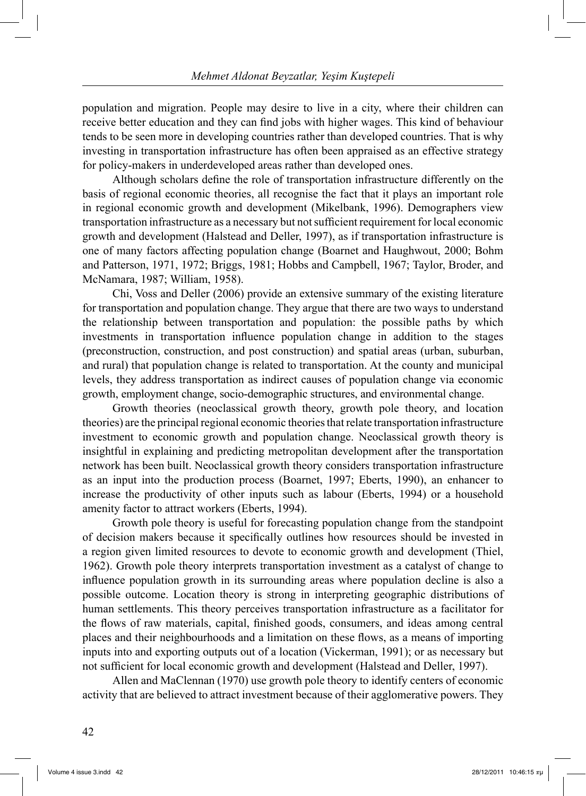population and migration. People may desire to live in a city, where their children can receive better education and they can find jobs with higher wages. This kind of behaviour tends to be seen more in developing countries rather than developed countries. That is why investing in transportation infrastructure has often been appraised as an effective strategy for policy-makers in underdeveloped areas rather than developed ones.

 Although scholars define the role of transportation infrastructure differently on the basis of regional economic theories, all recognise the fact that it plays an important role in regional economic growth and development (Mikelbank, 1996). Demographers view transportation infrastructure as a necessary but not sufficient requirement for local economic growth and development (Halstead and Deller, 1997), as if transportation infrastructure is one of many factors affecting population change (Boarnet and Haughwout, 2000; Bohm and Patterson, 1971, 1972; Briggs, 1981; Hobbs and Campbell, 1967; Taylor, Broder, and McNamara, 1987; William, 1958).

 Chi, Voss and Deller (2006) provide an extensive summary of the existing literature for transportation and population change. They argue that there are two ways to understand the relationship between transportation and population: the possible paths by which investments in transportation influence population change in addition to the stages (preconstruction, con struction, and post construction) and spatial areas (urban, suburban, and rural) that population change is related to transportation. At the county and municipal levels, they address transportation as indirect causes of population change via economic growth, employment change, socio-demographic structures, and environmental change.

 Growth theories (neoclassical growth theory, growth pole theory, and location theories) are the principal regional economic theories that relate transportation infrastructure investment to economic growth and population change. Neoclassical growth theory is insightful in explaining and predicting metropolitan development after the transportation network has been built. Neoclassical growth theory considers transportation infrastructure as an input into the production process (Boarnet, 1997; Eberts, 1990), an enhancer to increase the productivity of other inputs such as labour (Eberts, 1994) or a household amenity factor to attract workers (Eberts, 1994).

 Growth pole theory is useful for forecasting population change from the standpoint of decision makers because it specifically outlines how resources should be invested in a region given limited resources to devote to economic growth and development (Thiel, 1962). Growth pole theory interprets transportation investment as a catalyst of change to influence population growth in its surrounding areas where population decline is also a possible outcome. Location theory is strong in interpreting geographic distributions of human settlements. This theory perceives transportation infrastructure as a facilitator for the flows of raw materials, capital, finished goods, consumers, and ideas among central places and their neighbourhoods and a limitation on these flows, as a means of importing inputs into and exporting outputs out of a location (Vickerman, 1991); or as necessary but not sufficient for local economic growth and development (Halstead and Deller, 1997).

 Allen and MaClennan (1970) use growth pole theory to identify centers of economic activity that are believed to attract investment because of their agglomerative powers. They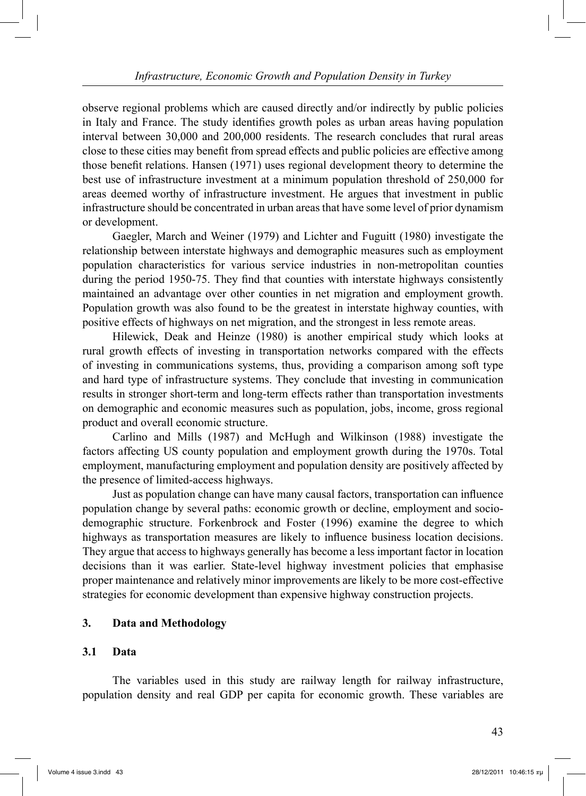observe regional problems which are caused directly and/or indirectly by public policies in Italy and France. The study identifies growth poles as urban areas having population interval between 30,000 and 200,000 residents. The research concludes that rural areas close to these cities may benefit from spread effects and public policies are effective among those benefit relations. Hansen (1971) uses regional development theory to determine the best use of infrastructure investment at a minimum population threshold of 250,000 for areas deemed worthy of infrastructure investment. He argues that investment in public infrastructure should be concentrated in urban areas that have some level of prior dynamism or development.

 Gaegler, March and Weiner (1979) and Lichter and Fuguitt (1980) investigate the relationship between interstate highways and demographic measures such as employment population characteristics for various service industries in non-metropolitan counties during the period 1950-75. They find that counties with interstate highways consistently maintained an advantage over other counties in net migration and employment growth. Population growth was also found to be the greatest in interstate highway counties, with positive effects of highways on net migration, and the strongest in less remote areas.

 Hilewick, Deak and Heinze (1980) is another empirical study which looks at rural growth effects of investing in transportation networks compared with the effects of investing in communications systems, thus, providing a comparison among soft type and hard type of infrastructure systems. They conclude that investing in communication results in stronger short-term and long-term effects rather than transportation investments on demographic and economic measures such as population, jobs, income, gross regional product and overall economic structure.

 Carlino and Mills (1987) and McHugh and Wilkinson (1988) investigate the factors affecting US county population and employment growth during the 1970s. Total employment, manufacturing employment and population density are positively affected by the presence of limited-access highways.

 Just as population change can have many causal factors, transportation can influence population change by several paths: economic growth or decline, employment and sociodemographic structure. Forkenbrock and Foster (1996) examine the degree to which highways as transportation measures are likely to influence business location decisions. They argue that access to highways generally has become a less important factor in location decisions than it was earlier. State-level highway investment policies that emphasise proper maintenance and relatively minor improvements are likely to be more cost-effective strategies for economic development than expensive highway construction projects.

## **3. Data and Methodology**

## **3.1 Data**

 The variables used in this study are railway length for railway infrastructure, population density and real GDP per capita for economic growth. These variables are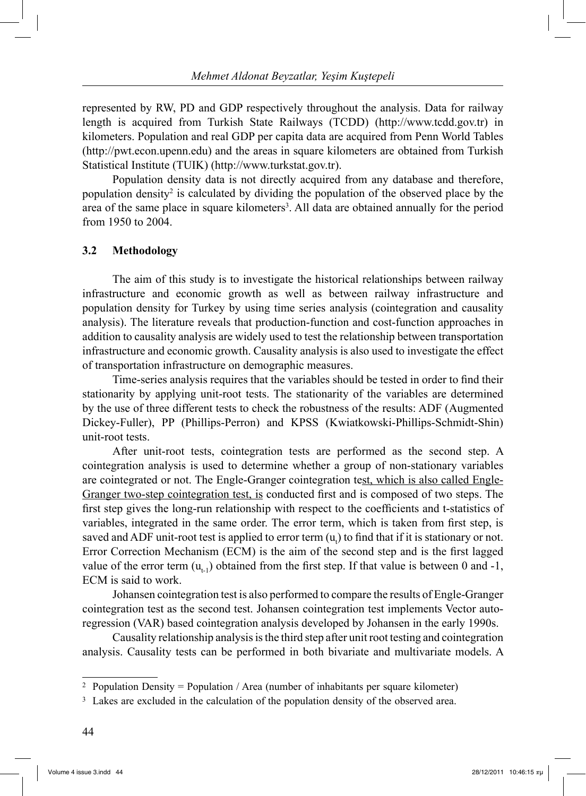represented by RW, PD and GDP respectively throughout the analysis. Data for railway length is acquired from Turkish State Railways (TCDD) (http://www.tcdd.gov.tr) in kilometers. Population and real GDP per capita data are acquired from Penn World Tables (http://pwt.econ.upenn.edu) and the areas in square kilometers are obtained from Turkish Statistical Institute (TUIK) (http://www.turkstat.gov.tr).

 Population density data is not directly acquired from any database and therefore, population density<sup>2</sup> is calculated by dividing the population of the observed place by the area of the same place in square kilometers<sup>3</sup>. All data are obtained annually for the period from 1950 to 2004.

### **3.2 Methodology**

 The aim of this study is to investigate the historical relationships between railway infrastructure and economic growth as well as between railway infrastructure and population density for Turkey by using time series analysis (cointegration and causality analysis). The literature reveals that production-function and cost-function approaches in addition to causality analysis are widely used to test the relationship between transportation infrastructure and economic growth. Causality analysis is also used to investigate the effect of transportation infrastructure on demographic measures.

 Time-series analysis requires that the variables should be tested in order to find their stationarity by applying unit-root tests. The stationarity of the variables are determined by the use of three different tests to check the robustness of the results: ADF (Augmented Dickey-Fuller), PP (Phillips-Perron) and KPSS (Kwiatkowski-Phillips-Schmidt-Shin) unit-root tests.

 After unit-root tests, cointegration tests are performed as the second step. A cointegration analysis is used to determine whether a group of non-stationary variables are cointegrated or not. The Engle-Granger cointegration test, which is also called Engle-Granger two-step cointegration test, is conducted first and is composed of two steps. The first step gives the long-run relationship with respect to the coefficients and t-statistics of variables, integrated in the same order. The error term, which is taken from first step, is saved and ADF unit-root test is applied to error term  $(u_t)$  to find that if it is stationary or not. Error Correction Mechanism (ECM) is the aim of the second step and is the first lagged value of the error term  $(u_{t-1})$  obtained from the first step. If that value is between 0 and -1, ECM is said to work.

 Johansen cointegration test is also performed to compare the results of Engle-Granger cointegration test as the second test. Johansen cointegration test implements Vector autoregression (VAR) based cointegration analysis developed by Johansen in the early 1990s.

 Causality relationship analysis is the third step after unit root testing and cointegration analysis. Causality tests can be performed in both bivariate and multivariate models. A

<sup>&</sup>lt;sup>2</sup> Population Density = Population / Area (number of inhabitants per square kilometer)

<sup>&</sup>lt;sup>3</sup> Lakes are excluded in the calculation of the population density of the observed area.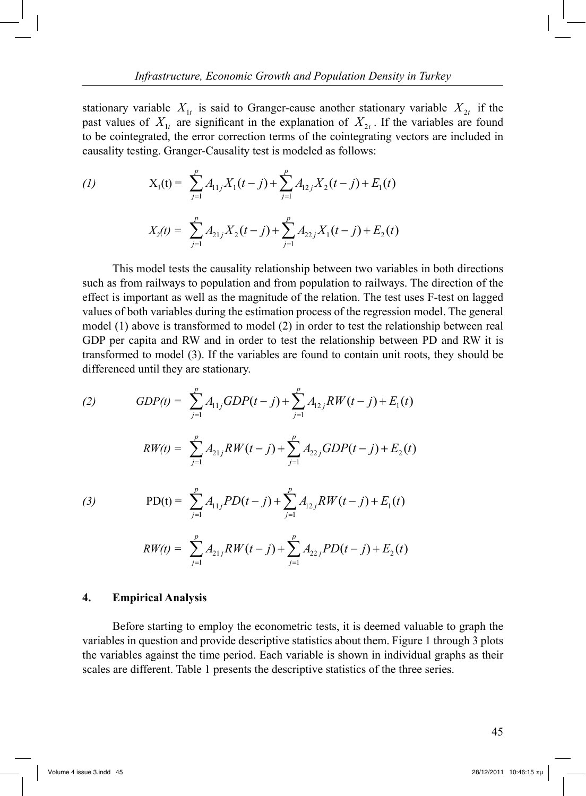stationary variable  $X_{1t}$  is said to Granger-cause another stationary variable  $X_{2t}$  if the past values of  $X_{1t}$  are significant in the explanation of  $X_{2t}$ . If the variables are found to be cointegrated, the error correction terms of the cointegrating vectors are included in causality testing. Granger-Causality test is modeled as follows:

(1) 
$$
X_1(t) = \sum_{j=1}^p A_{11j} X_1(t-j) + \sum_{j=1}^p A_{12j} X_2(t-j) + E_1(t)
$$

$$
X_2(t) = \sum_{j=1}^p A_{21j} X_2(t-j) + \sum_{j=1}^p A_{22j} X_1(t-j) + E_2(t)
$$

 This model tests the causality relationship between two variables in both directions such as from railways to population and from population to railways. The direction of the effect is important as well as the magnitude of the relation. The test uses F-test on lagged values of both variables during the estimation process of the regression model. The general model (1) above is transformed to model (2) in order to test the relationship between real GDP per capita and RW and in order to test the relationship between PD and RW it is transformed to model (3). If the variables are found to contain unit roots, they should be differenced until they are stationary.

(2) 
$$
GDP(t) = \sum_{j=1}^{p} A_{11j} GDP(t-j) + \sum_{j=1}^{p} A_{12j} RW(t-j) + E_1(t)
$$

$$
RW(t) = \sum_{j=1}^{p} A_{21j} RW(t-j) + \sum_{j=1}^{p} A_{22j} GDP(t-j) + E_2(t)
$$

(3) 
$$
PD(t) = \sum_{j=1}^{p} A_{11j} PD(t-j) + \sum_{j=1}^{p} A_{12j} RW(t-j) + E_1(t)
$$

$$
RW(t) = \sum_{j=1}^{p} A_{21j} RW(t-j) + \sum_{j=1}^{p} A_{22j} PD(t-j) + E_2(t)
$$

### **4. Empirical Analysis**

 Before starting to employ the econometric tests, it is deemed valuable to graph the variables in question and provide descriptive statistics about them. Figure 1 through 3 plots the variables against the time period. Each variable is shown in individual graphs as their scales are different. Table 1 presents the descriptive statistics of the three series.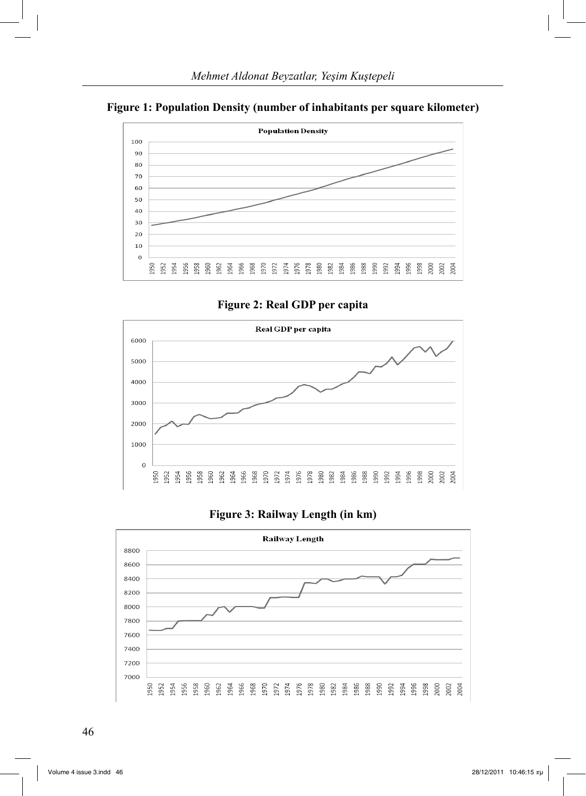



**Figure 2: Real GDP per capita**



## **Figure 3: Railway Length (in km)**

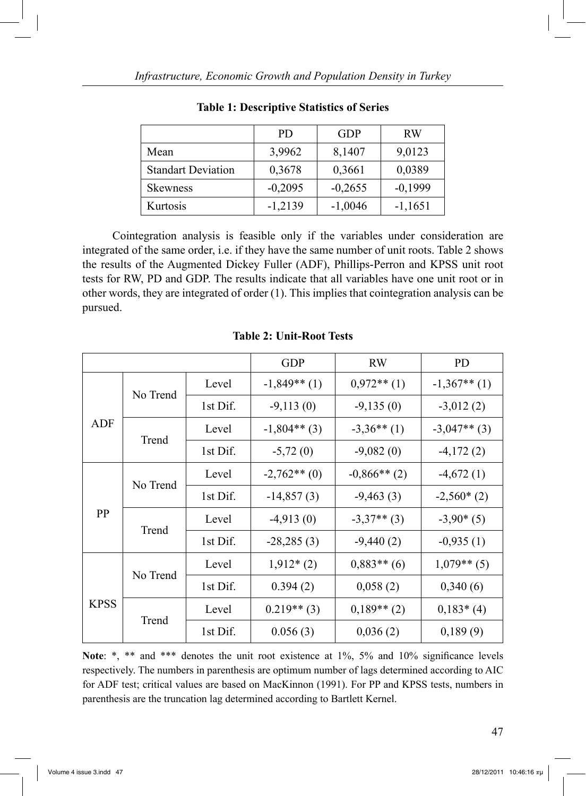|                           | PD.       | <b>GDP</b> | <b>RW</b> |
|---------------------------|-----------|------------|-----------|
| Mean                      | 3,9962    | 8,1407     | 9,0123    |
| <b>Standart Deviation</b> | 0,3678    | 0,3661     | 0,0389    |
| <b>Skewness</b>           | $-0,2095$ | $-0,2655$  | $-0,1999$ |
| Kurtosis                  | $-1,2139$ | $-1,0046$  | $-1,1651$ |

**Table 1: Descriptive Statistics of Series**

 Cointegration analysis is feasible only if the variables under consideration are integrated of the same order, i.e. if they have the same number of unit roots. Table 2 shows the results of the Augmented Dickey Fuller (ADF), Phillips-Perron and KPSS unit root tests for RW, PD and GDP. The results indicate that all variables have one unit root or in other words, they are integrated of order (1). This implies that cointegration analysis can be pursued.

|             |          |          | <b>GDP</b>     | <b>RW</b>      | <b>PD</b>      |
|-------------|----------|----------|----------------|----------------|----------------|
|             |          | Level    | $-1,849**$ (1) | $0,972**$ (1)  | $-1,367**$ (1) |
|             | No Trend | 1st Dif. | $-9,113(0)$    | $-9,135(0)$    | $-3,012(2)$    |
| ADF         |          | Level    | $-1,804**$ (3) | $-3,36**$ (1)  | $-3,047**$ (3) |
|             | Trend    | 1st Dif. | $-5,72(0)$     | $-9,082(0)$    | $-4,172(2)$    |
|             |          | Level    | $-2,762**$ (0) | $-0,866**$ (2) | $-4,672(1)$    |
|             | No Trend | 1st Dif. | $-14,857(3)$   | $-9,463(3)$    | $-2,560*(2)$   |
| PP          |          | Level    | $-4,913(0)$    | $-3,37**$ (3)  | $-3,90*(5)$    |
|             | Trend    | 1st Dif. | $-28,285(3)$   | $-9,440(2)$    | $-0,935(1)$    |
|             |          | Level    | $1,912*(2)$    | $0,883**$ (6)  | $1,079**$ (5)  |
|             | No Trend | 1st Dif. | 0.394(2)       | 0,058(2)       | 0,340(6)       |
| <b>KPSS</b> |          | Level    | $0.219**$ (3)  | $0,189**$ (2)  | $0,183*(4)$    |
|             | Trend    | 1st Dif. | 0.056(3)       | 0,036(2)       | 0,189(9)       |

**Table 2: Unit-Root Tests**

Note: \*, \*\* and \*\*\* denotes the unit root existence at 1%, 5% and 10% significance levels respectively. The numbers in parenthesis are optimum number of lags determined according to AIC for ADF test; critical values are based on MacKinnon (1991). For PP and KPSS tests, numbers in parenthesis are the truncation lag determined according to Bartlett Kernel.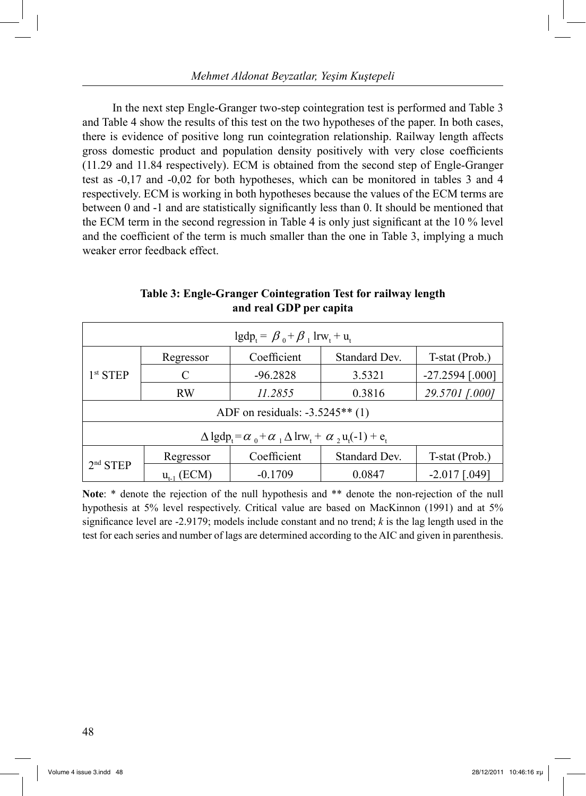In the next step Engle-Granger two-step cointegration test is performed and Table 3 and Table 4 show the results of this test on the two hypotheses of the paper. In both cases, there is evidence of positive long run cointegration relationship. Railway length affects gross domestic product and population density positively with very close coefficients (11.29 and 11.84 respectively). ECM is obtained from the second step of Engle-Granger test as -0,17 and -0,02 for both hypotheses, which can be monitored in tables 3 and 4 respectively. ECM is working in both hypotheses because the values of the ECM terms are between 0 and -1 and are statistically significantly less than 0. It should be mentioned that the ECM term in the second regression in Table 4 is only just significant at the 10 % level and the coefficient of the term is much smaller than the one in Table 3, implying a much weaker error feedback effect.

| $lgdp_t = \beta_0 + \beta_1 lrw_t + u_t$                                        |           |             |               |                   |  |
|---------------------------------------------------------------------------------|-----------|-------------|---------------|-------------------|--|
|                                                                                 | Regressor | Coefficient | Standard Dev. | T-stat (Prob.)    |  |
| 1 <sup>st</sup> STEP                                                            | C         | $-96.2828$  | 3.5321        | $-27.2594$ [.000] |  |
|                                                                                 | <b>RW</b> | 11.2855     | 0.3816        | 29.5701 [.000]    |  |
| ADF on residuals: $-3.5245**$ (1)                                               |           |             |               |                   |  |
| $\Delta \lg dp_t = \alpha_0 + \alpha_1 \Delta \ln w_t + \alpha_2 u_t(-1) + e_t$ |           |             |               |                   |  |
| $2nd$ STEP                                                                      | Regressor | Coefficient | Standard Dev. | T-stat (Prob.)    |  |
|                                                                                 | (ECM)     | $-0.1709$   | 0.0847        | $-2.017$ [.049]   |  |

**Table 3: Engle-Granger Cointegration Test for railway length and real GDP per capita**

**Note**: \* denote the rejection of the null hypothesis and \*\* denote the non-rejection of the null hypothesis at 5% level respectively. Critical value are based on MacKinnon (1991) and at 5% significance level are -2.9179; models include constant and no trend; *k* is the lag length used in the test for each series and number of lags are determined according to the AIC and given in parenthesis.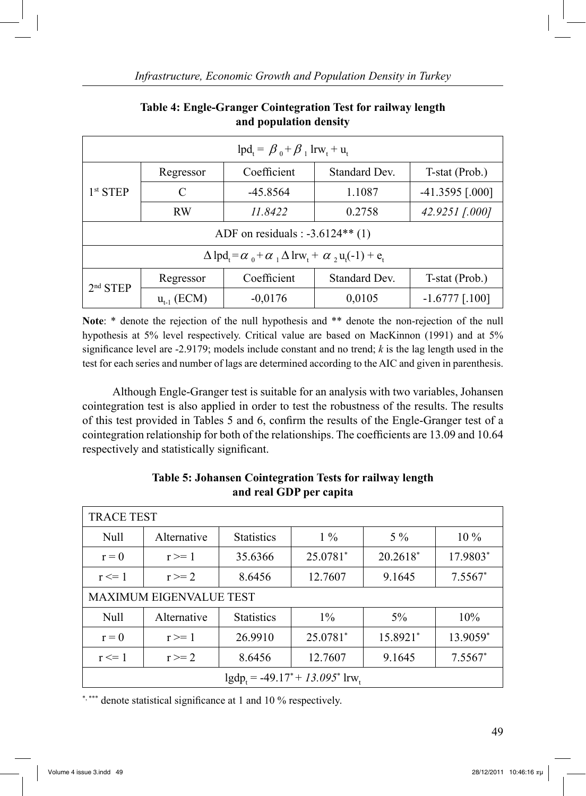| $lpd_t = \beta_0 + \beta_1 lrw_t + u_t$                                                                                |                   |             |                      |                   |  |
|------------------------------------------------------------------------------------------------------------------------|-------------------|-------------|----------------------|-------------------|--|
|                                                                                                                        | Regressor         | Coefficient | <b>Standard Dev.</b> | T-stat (Prob.)    |  |
| $1st$ STEP                                                                                                             | C                 | $-45.8564$  | 1.1087               | $-41.3595$ [.000] |  |
| <b>RW</b>                                                                                                              | 11.8422<br>0.2758 |             | 42.9251 [.000]       |                   |  |
| ADF on residuals : $-3.6124**$ (1)                                                                                     |                   |             |                      |                   |  |
| $\Delta \mathrm{lpd}_{t} = \alpha_0 + \alpha_1 \Delta \mathrm{lrw}_{t} + \alpha_2 \mathrm{u}_{t}(-1) + \mathrm{e}_{t}$ |                   |             |                      |                   |  |
| 2 <sup>nd</sup> STEP                                                                                                   | Regressor         | Coefficient | Standard Dev.        | T-stat (Prob.)    |  |
|                                                                                                                        | $u_{t-1}$ (ECM)   | $-0,0176$   | 0,0105               | $-1.6777$ [.100]  |  |

# **Table 4: Engle-Granger Cointegration Test for railway length and population density**

**Note**: \* denote the rejection of the null hypothesis and \*\* denote the non-rejection of the null hypothesis at 5% level respectively. Critical value are based on MacKinnon (1991) and at 5% significance level are -2.9179; models include constant and no trend; *k* is the lag length used in the test for each series and number of lags are determined according to the AIC and given in parenthesis.

 Although Engle-Granger test is suitable for an analysis with two variables, Johansen cointegration test is also applied in order to test the robustness of the results. The results of this test provided in Tables 5 and 6, confirm the results of the Engle-Granger test of a cointegration relationship for both of the relationships. The coefficients are 13.09 and 10.64 respectively and statistically significant.

| <b>TRACE TEST</b>                               |             |                   |          |          |           |  |
|-------------------------------------------------|-------------|-------------------|----------|----------|-----------|--|
| Null                                            | Alternative | <b>Statistics</b> | $1\%$    | $5\%$    | $10\%$    |  |
| $r = 0$                                         | $r \geq 1$  | 35.6366           | 25.0781* | 20.2618* | 17.9803*  |  |
| $r \leq 1$                                      | $r \geq 2$  | 8.6456            | 12.7607  | 9.1645   | $7.5567*$ |  |
| <b>MAXIMUM EIGENVALUE TEST</b>                  |             |                   |          |          |           |  |
| Null                                            | Alternative | <b>Statistics</b> | $1\%$    | $5\%$    | 10%       |  |
| $r = 0$                                         | $r \geq 1$  | 26.9910           | 25.0781* | 15.8921* | 13.9059*  |  |
| $r \leq 1$                                      | $r \geq 2$  | 8.6456            | 12.7607  | 9.1645   | $7.5567*$ |  |
| $lgdp_t = -49.17^* + 13.095^*$ lrw <sub>t</sub> |             |                   |          |          |           |  |

## **Table 5: Johansen Cointegration Tests for railway length and real GDP per capita**

\*, \*\*\* denote statistical significance at 1 and 10 % respectively.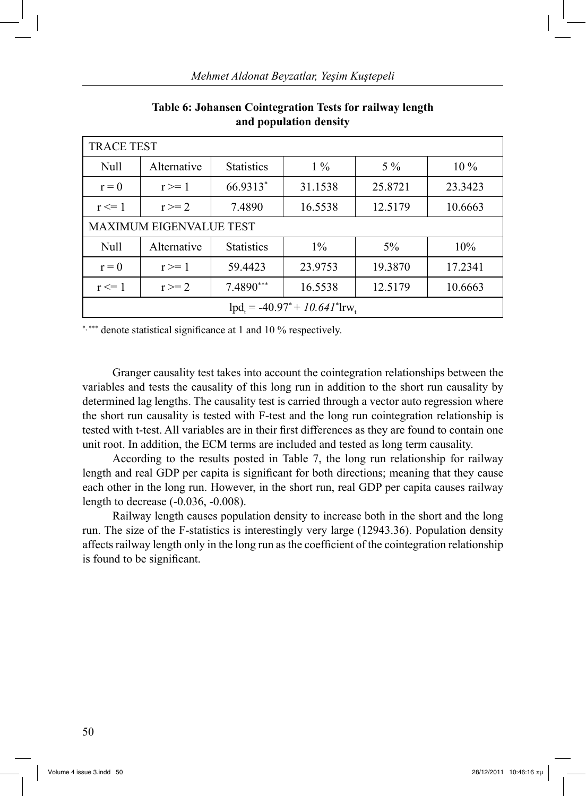| <b>TRACE TEST</b>                                |             |                   |         |         |         |  |
|--------------------------------------------------|-------------|-------------------|---------|---------|---------|--|
| Null                                             | Alternative | <b>Statistics</b> | $1\%$   | $5\%$   | $10\%$  |  |
| $r = 0$                                          | $r \geq 1$  | 66.9313*          | 31.1538 | 25.8721 | 23.3423 |  |
| $r \leq 1$                                       | $r \geq 2$  | 7.4890            | 16.5538 | 12.5179 | 10.6663 |  |
| MAXIMUM EIGENVALUE TEST                          |             |                   |         |         |         |  |
| Null                                             | Alternative | <b>Statistics</b> | $1\%$   | $5\%$   | 10%     |  |
| $r = 0$                                          | $r \geq 1$  | 59.4423           | 23.9753 | 19.3870 | 17.2341 |  |
| $r \leq 1$                                       | $r \geq 2$  | 7.4890***         | 16.5538 | 12.5179 | 10.6663 |  |
| $lpd_{i} = -40.97^* + 10.641^*$ lrw <sub>t</sub> |             |                   |         |         |         |  |

**Table 6: Johansen Cointegration Tests for railway length and population density**

\*,\*\*\* denote statistical significance at 1 and 10 % respectively.

 Granger causality test takes into account the cointegration relationships between the variables and tests the causality of this long run in addition to the short run causality by determined lag lengths. The causality test is carried through a vector auto regression where the short run causality is tested with F-test and the long run cointegration relationship is tested with t-test. All variables are in their first differences as they are found to contain one unit root. In addition, the ECM terms are included and tested as long term causality.

 According to the results posted in Table 7, the long run relationship for railway length and real GDP per capita is significant for both directions; meaning that they cause each other in the long run. However, in the short run, real GDP per capita causes railway length to decrease (-0.036, -0.008).

 Railway length causes population density to increase both in the short and the long run. The size of the F-statistics is interestingly very large (12943.36). Population density affects railway length only in the long run as the coefficient of the cointegration relationship is found to be significant.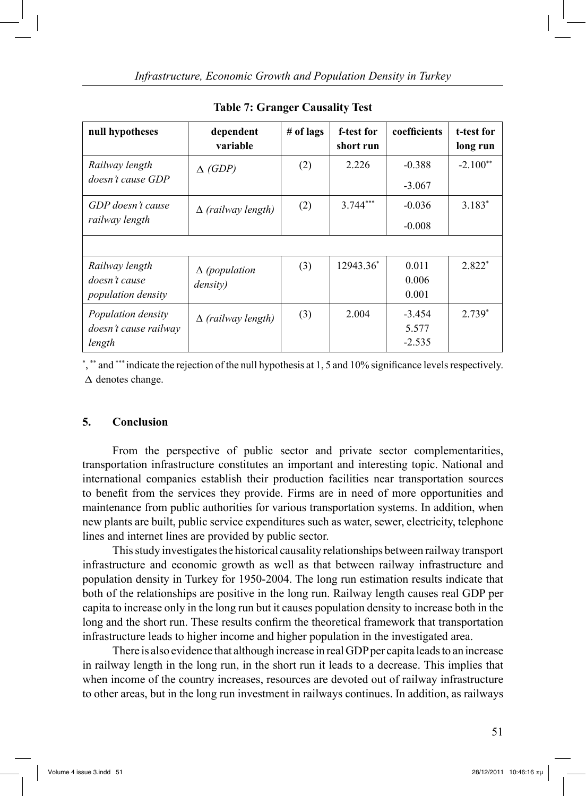| null hypotheses                                              | dependent<br>variable            | # of lags | f-test for<br>short run | coefficients                  | t-test for<br>long run |
|--------------------------------------------------------------|----------------------------------|-----------|-------------------------|-------------------------------|------------------------|
| Railway length<br>doesn't cause GDP                          | $\triangle$ (GDP)                | (2)       | 2.226                   | $-0.388$<br>$-3.067$          | $-2.100**$             |
| GDP doesn't cause<br>railway length                          | $\Delta$ (railway length)        | (2)       | $3.744***$              | $-0.036$<br>$-0.008$          | $3.183*$               |
| Railway length<br>doesn't cause<br><i>population density</i> | $\Delta$ (population<br>density) | (3)       | 12943.36*               | 0.011<br>0.006<br>0.001       | $2.822*$               |
| Population density<br>doesn't cause railway<br>length        | $\Delta$ (railway length)        | (3)       | 2.004                   | $-3.454$<br>5.577<br>$-2.535$ | $2.739*$               |

**Table 7: Granger Causality Test**

\* , \*\* and \*\*\* indicate the rejection of the null hypothesis at 1, 5 and 10% significance levels respectively.  $\Delta$  denotes change.

### **5. Conclusion**

 From the perspective of public sector and private sector complementarities, transportation infrastructure constitutes an important and interesting topic. National and international companies establish their production facilities near transportation sources to benefit from the services they provide. Firms are in need of more opportunities and maintenance from public authorities for various transportation systems. In addition, when new plants are built, public service expenditures such as water, sewer, electricity, telephone lines and internet lines are provided by public sector.

 This study investigates the historical causality relationships between railway transport infrastructure and economic growth as well as that between railway infrastructure and population density in Turkey for 1950-2004. The long run estimation results indicate that both of the relationships are positive in the long run. Railway length causes real GDP per capita to increase only in the long run but it causes population density to increase both in the long and the short run. These results confirm the theoretical framework that transportation infrastructure leads to higher income and higher population in the investigated area.

 There is also evidence that although increase in real GDP per capita leads to an increase in railway length in the long run, in the short run it leads to a decrease. This implies that when income of the country increases, resources are devoted out of railway infrastructure to other areas, but in the long run investment in railways continues. In addition, as railways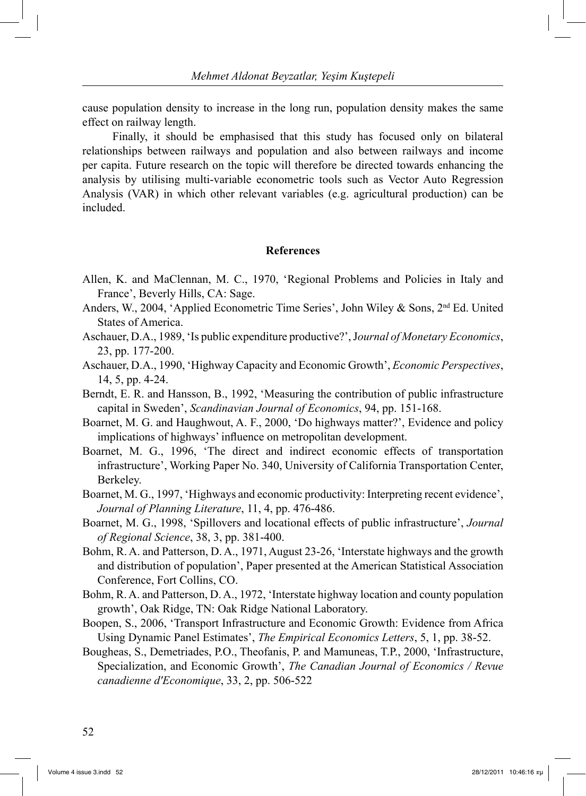cause population density to increase in the long run, population density makes the same effect on railway length.

 Finally, it should be emphasised that this study has focused only on bilateral relationships between railways and population and also between railways and income per capita. Future research on the topic will therefore be directed towards enhancing the analysis by utilising multi-variable econometric tools such as Vector Auto Regression Analysis (VAR) in which other relevant variables (e.g. agricultural production) can be included.

#### **References**

- Allen, K. and MaClennan, M. C., 1970, 'Regional Problems and Policies in Italy and France', Beverly Hills, CA: Sage.
- Anders, W., 2004, 'Applied Econometric Time Series', John Wiley & Sons, 2nd Ed. United States of America.
- Aschauer, D.A., 1989, 'Is public expenditure productive?', J*ournal of Monetary Economics*, 23, pp. 177-200.
- Aschauer, D.A., 1990, 'Highway Capacity and Economic Growth', *Economic Perspectives*, 14, 5, pp. 4-24.
- Berndt, E. R. and Hansson, B., 1992, 'Measuring the contribution of public infrastructure capital in Sweden', *Scandinavian Journal of Economics*, 94, pp. 151-168.
- Boarnet, M. G. and Haughwout, A. F., 2000, 'Do highways matter?', Evidence and policy implications of highways' influence on metropolitan development.
- Boarnet, M. G., 1996, 'The direct and indirect economic effects of transportation infrastructure', Working Paper No. 340, University of California Transportation Center, Berkeley.
- Boarnet, M. G., 1997, 'Highways and economic productivity: Interpreting recent evidence', *Journal of Planning Literature*, 11, 4, pp. 476-486.
- Boarnet, M. G., 1998, 'Spillovers and locational effects of public infrastructure', *Journal of Regional Science*, 38, 3, pp. 381-400.
- Bohm, R. A. and Patterson, D. A., 1971, August 23-26, 'Interstate highways and the growth and distribution of population', Paper presented at the American Statistical Association Conference, Fort Collins, CO.
- Bohm, R. A. and Patterson, D. A., 1972, 'Interstate highway location and county population growth', Oak Ridge, TN: Oak Ridge National Laboratory.
- Boopen, S., 2006, 'Transport Infrastructure and Economic Growth: Evidence from Africa Using Dynamic Panel Estimates', *The Empirical Economics Letters*, 5, 1, pp. 38-52.
- Bougheas, S., Demetriades, P.O., Theofanis, P. and Mamuneas, T.P., 2000, 'Infrastructure, Specialization, and Economic Growth', *The Canadian Journal of Economics / Revue canadienne d'Economique*, 33, 2, pp. 506-522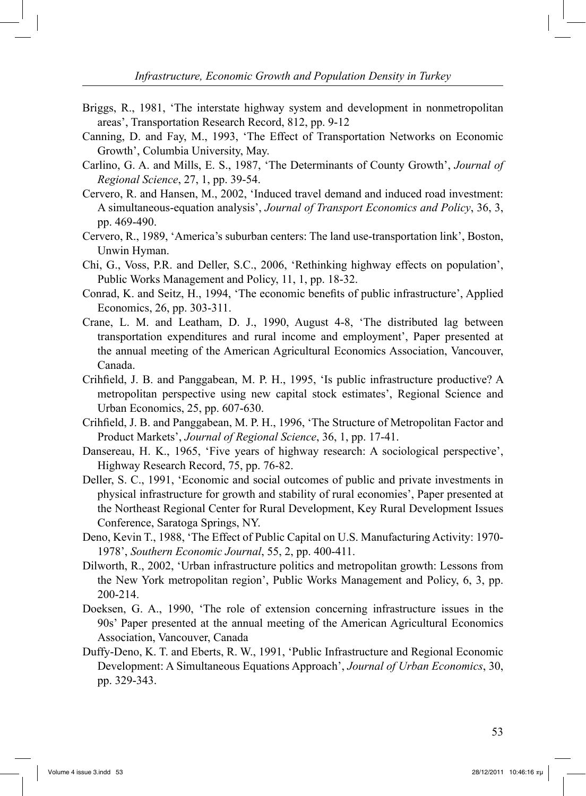- Briggs, R., 1981, 'The interstate highway system and development in nonmetropolitan areas', Transportation Research Record, 812, pp. 9-12
- Canning, D. and Fay, M., 1993, 'The Effect of Transportation Networks on Economic Growth', Columbia University, May.
- Carlino, G. A. and Mills, E. S., 1987, 'The Determinants of County Growth', *Journal of Regional Science*, 27, 1, pp. 39-54.
- Cervero, R. and Hansen, M., 2002, 'Induced travel demand and induced road investment: A simultaneous-equation analysis', *Journal of Transport Economics and Policy*, 36, 3, pp. 469-490.
- Cervero, R., 1989, 'America's suburban centers: The land use-transportation link', Boston, Unwin Hyman.
- Chi, G., Voss, P.R. and Deller, S.C., 2006, 'Rethinking highway effects on population', Public Works Management and Policy, 11, 1, pp. 18-32.
- Conrad, K. and Seitz, H., 1994, 'The economic benefits of public infrastructure', Applied Economics, 26, pp. 303-311.
- Crane, L. M. and Leatham, D. J., 1990, August 4-8, 'The distributed lag between transportation expenditures and rural income and employment', Paper presented at the annual meeting of the American Agricultural Economics Association, Vancouver, Canada.
- Crihfield, J. B. and Panggabean, M. P. H., 1995, 'Is public infrastructure productive? A metropolitan perspective using new capital stock estimates', Regional Science and Urban Economics, 25, pp. 607-630.
- Crihfield, J. B. and Panggabean, M. P. H., 1996, 'The Structure of Metropolitan Factor and Product Markets', *Journal of Regional Science*, 36, 1, pp. 17-41.
- Dansereau, H. K., 1965, 'Five years of highway research: A sociological perspective', Highway Research Record, 75, pp. 76-82.
- Deller, S. C., 1991, 'Economic and social outcomes of public and private investments in physical infrastructure for growth and stability of rural economies', Paper presented at the Northeast Regional Center for Rural Development, Key Rural Development Issues Conference, Saratoga Springs, NY.
- Deno, Kevin T., 1988, 'The Effect of Public Capital on U.S. Manufacturing Activity: 1970- 1978', *Southern Economic Journal*, 55, 2, pp. 400-411.
- Dilworth, R., 2002, 'Urban infrastructure politics and metropolitan growth: Lessons from the New York metropolitan region', Public Works Management and Policy, 6, 3, pp. 200-214.
- Doeksen, G. A., 1990, 'The role of extension concerning infrastructure issues in the 90s' Paper presented at the annual meeting of the American Agricultural Economics Association, Vancouver, Canada
- Duffy-Deno, K. T. and Eberts, R. W., 1991, 'Public Infrastructure and Regional Economic Development: A Simultaneous Equations Approach', *Journal of Urban Economics*, 30, pp. 329-343.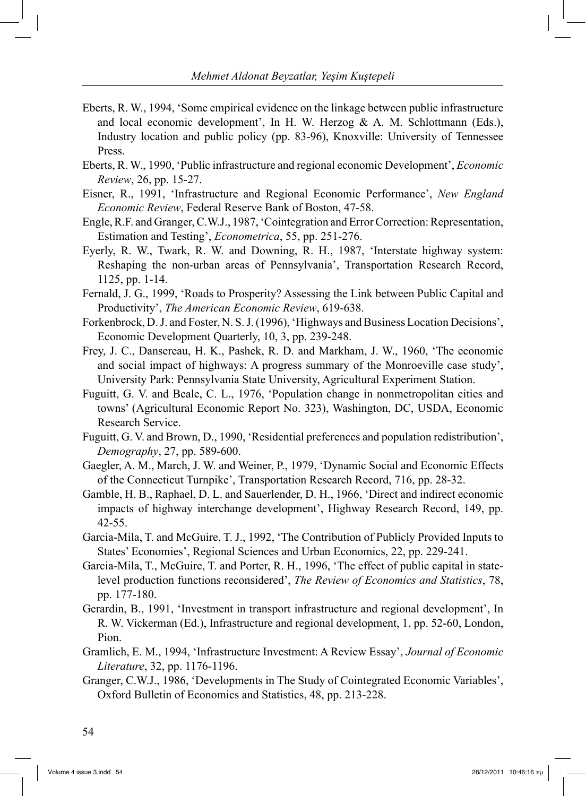- Eberts, R. W., 1994, 'Some empirical evidence on the linkage between public infrastructure and local economic development', In H. W. Herzog  $\& A$ . M. Schlottmann (Eds.), Industry location and public policy (pp. 83-96), Knoxville: University of Tennessee Press.
- Eberts, R. W., 1990, 'Public infrastructure and regional economic Development', *Economic Review*, 26, pp. 15-27.
- Eisner, R., 1991, 'Infrastructure and Regional Economic Performance', *New England Economic Review*, Federal Reserve Bank of Boston, 47-58.
- Engle, R.F. and Granger, C.W.J., 1987, 'Cointegration and Error Correction: Representation, Estimation and Testing', *Econometrica*, 55, pp. 251-276.
- Eyerly, R. W., Twark, R. W. and Downing, R. H., 1987, 'Interstate highway system: Reshaping the non-urban areas of Pennsylvania', Transportation Research Record, 1125, pp. 1-14.
- Fernald, J. G., 1999, 'Roads to Prosperity? Assessing the Link between Public Capital and Productivity', *The American Economic Review*, 619-638.
- Forkenbrock, D. J. and Foster, N. S. J. (1996), 'Highways and Business Location Decisions', Economic Development Quarterly, 10, 3, pp. 239-248.
- Frey, J. C., Dansereau, H. K., Pashek, R. D. and Markham, J. W., 1960, 'The economic and social impact of highways: A progress summary of the Monroeville case study', University Park: Pennsylvania State University, Agricultural Experiment Station.
- Fuguitt, G. V. and Beale, C. L., 1976, 'Population change in nonmetropolitan cities and towns' (Agricultural Economic Report No. 323), Washington, DC, USDA, Economic Research Service.
- Fuguitt, G. V. and Brown, D., 1990, 'Residential preferences and population redistribution', *Demography*, 27, pp. 589-600.
- Gaegler, A. M., March, J. W. and Weiner, P., 1979, 'Dynamic Social and Economic Effects of the Connecticut Turnpike', Transportation Research Record, 716, pp. 28-32.
- Gamble, H. B., Raphael, D. L. and Sauerlender, D. H., 1966, 'Direct and indirect economic impacts of highway interchange development', Highway Research Record, 149, pp. 42-55.
- Garcia-Mila, T. and McGuire, T. J., 1992, 'The Contribution of Publicly Provided Inputs to States' Economies', Regional Sciences and Urban Economics, 22, pp. 229-241.
- Garcia-Mila, T., McGuire, T. and Porter, R. H., 1996, 'The effect of public capital in statelevel production functions reconsidered', *The Review of Economics and Statistics*, 78, pp. 177-180.
- Gerardin, B., 1991, 'Investment in transport infrastructure and regional development', In R. W. Vickerman (Ed.), Infrastructure and regional development, 1, pp. 52-60, London, Pion.
- Gramlich, E. M., 1994, 'Infrastructure Investment: A Review Essay', *Journal of Economic Literature*, 32, pp. 1176-1196.
- Granger, C.W.J., 1986, 'Developments in The Study of Cointegrated Economic Variables', Oxford Bulletin of Economics and Statistics, 48, pp. 213-228.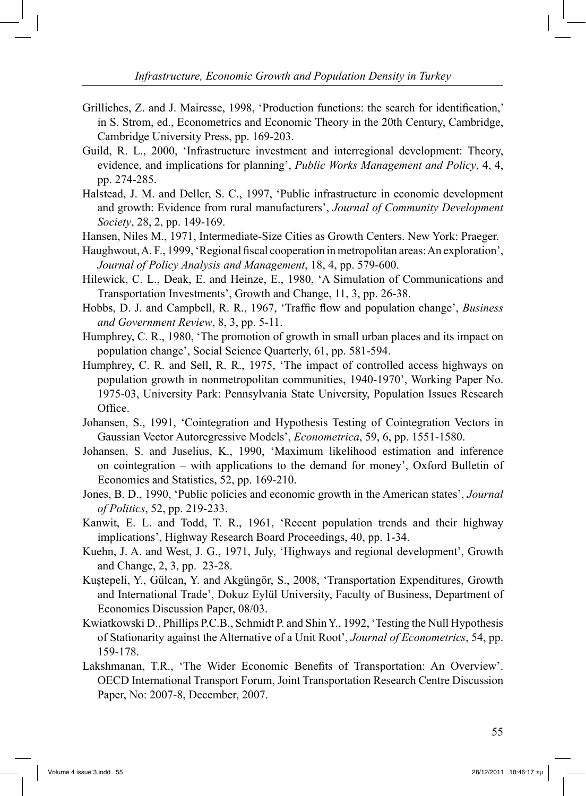- Grilliches, Z. and J. Mairesse, 1998, 'Production functions: the search for identification,' in S. Strom, ed., Econometrics and Economic Theory in the 20th Century, Cambridge, Cambridge University Press, pp. 169-203.
- Guild, R. L., 2000, 'Infrastructure investment and interregional development: Theory, evidence, and implications for planning', *Public Works Management and Policy*, 4, 4, pp. 274-285.
- Halstead, J. M. and Deller, S. C., 1997, 'Public infrastructure in economic development and growth: Evidence from rural manufacturers', *Journal of Community Development Society*, 28, 2, pp. 149-169.
- Hansen, Niles M., 1971, Intermediate-Size Cities as Growth Centers. New York: Praeger.
- Haughwout, A. F., 1999, 'Regional fiscal cooperation in metropolitan areas: An exploration', *Journal of Policy Analysis and Management*, 18, 4, pp. 579-600.
- Hilewick, C. L., Deak, E. and Heinze, E., 1980, 'A Simulation of Communications and Transportation Investments', Growth and Change, 11, 3, pp. 26-38.
- Hobbs, D. J. and Campbell, R. R., 1967, 'Traffic flow and population change', *Business and Government Review*, 8, 3, pp. 5-11.
- Humphrey, C. R., 1980, 'The promotion of growth in small urban places and its impact on population change', Social Science Quarterly, 61, pp. 581-594.
- Humphrey, C. R. and Sell, R. R., 1975, 'The impact of controlled access highways on population growth in nonmetropolitan communities, 1940-1970', Working Paper No. 1975-03, University Park: Pennsylvania State University, Population Issues Research Office.
- Johansen, S., 1991, 'Cointegration and Hypothesis Testing of Cointegration Vectors in Gaussian Vector Autoregressive Models', *Econometrica*, 59, 6, pp. 1551-1580.
- Johansen, S. and Juselius, K., 1990, 'Maximum likelihood estimation and inference on cointegration – with applications to the demand for money', Oxford Bulletin of Economics and Statistics, 52, pp. 169-210.
- Jones, B. D., 1990, 'Public policies and economic growth in the American states', *Journal of Politics*, 52, pp. 219-233.
- Kanwit, E. L. and Todd, T. R., 1961, 'Recent population trends and their highway implications', Highway Research Board Proceedings, 40, pp. 1-34.
- Kuehn, J. A. and West, J. G., 1971, July, 'Highways and regional development', Growth and Change, 2, 3, pp. 23-28.
- Kuştepeli, Y., Gülcan, Y. and Akgüngör, S., 2008, 'Transportation Expenditures, Growth and International Trade', Dokuz Eylül University, Faculty of Business, Department of Economics Discussion Paper, 08/03.
- Kwiatkowski D., Phillips P.C.B., Schmidt P. and Shin Y., 1992, 'Testing the Null Hypothesis of Stationarity against the Alternative of a Unit Root', *Journal of Econometrics*, 54, pp. 159-178.
- Lakshmanan, T.R., 'The Wider Economic Benefits of Transportation: An Overview'. OECD International Transport Forum, Joint Transportation Research Centre Discussion Paper, No: 2007-8, December, 2007.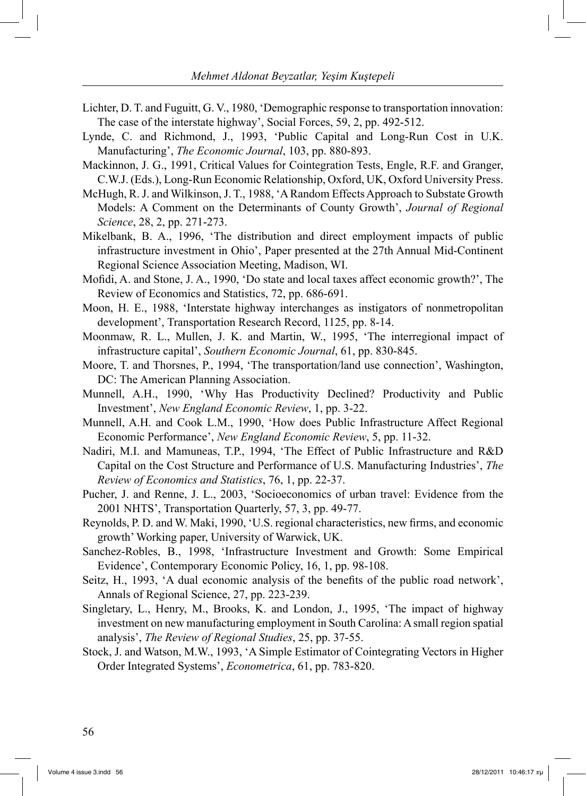- Lichter, D. T. and Fuguitt, G. V., 1980, 'Demographic response to transportation innovation: The case of the interstate highway', Social Forces, 59, 2, pp. 492-512.
- Lynde, C. and Richmond, J., 1993, 'Public Capital and Long-Run Cost in U.K. Manufacturing', *The Economic Journal*, 103, pp. 880-893.
- Mackinnon, J. G., 1991, Critical Values for Cointegration Tests, Engle, R.F. and Granger, C.W.J. (Eds.), Long-Run Economic Relationship, Oxford, UK, Oxford University Press.
- McHugh, R. J. and Wilkinson, J. T., 1988, 'A Random Effects Approach to Substate Growth Models: A Comment on the Determinants of County Growth', *Journal of Regional Science*, 28, 2, pp. 271-273.
- Mikelbank, B. A., 1996, 'The distribution and direct employment impacts of public infrastructure investment in Ohio', Paper presented at the 27th Annual Mid-Continent Regional Science Association Meeting, Madison, WI.
- Mofidi, A. and Stone, J. A., 1990, 'Do state and local taxes affect economic growth?', The Review of Economics and Statistics, 72, pp. 686-691.
- Moon, H. E., 1988, 'Interstate highway interchanges as instigators of nonmetropolitan development', Transportation Research Record, 1125, pp. 8-14.
- Moonmaw, R. L., Mullen, J. K. and Martin, W., 1995, 'The interregional impact of infrastructure capital', *Southern Economic Journal*, 61, pp. 830-845.
- Moore, T. and Thorsnes, P., 1994, 'The transportation/land use connection', Washington, DC: The American Planning Association.
- Munnell, A.H., 1990, 'Why Has Productivity Declined? Productivity and Public Investment', *New England Economic Review*, 1, pp. 3-22.
- Munnell, A.H. and Cook L.M., 1990, 'How does Public Infrastructure Affect Regional Economic Performance', *New England Economic Review*, 5, pp. 11-32.
- Nadiri, M.I. and Mamuneas, T.P., 1994, 'The Effect of Public Infrastructure and R&D Capital on the Cost Structure and Performance of U.S. Manufacturing Industries', *The Review of Economics and Statistics*, 76, 1, pp. 22-37.
- Pucher, J. and Renne, J. L., 2003, 'Socioeconomics of urban travel: Evidence from the 2001 NHTS', Transportation Quarterly, 57, 3, pp. 49-77.
- Reynolds, P. D. and W. Maki, 1990, 'U.S. regional characteristics, new firms, and economic growth' Working paper, University of Warwick, UK.
- Sanchez-Robles, B., 1998, 'Infrastructure Investment and Growth: Some Empirical Evidence', Contemporary Economic Policy, 16, 1, pp. 98-108.
- Seitz, H., 1993, 'A dual economic analysis of the benefits of the public road network', Annals of Regional Science, 27, pp. 223-239.
- Singletary, L., Henry, M., Brooks, K. and London, J., 1995, 'The impact of highway investment on new manufacturing employment in South Carolina: A small region spatial analysis', *The Review of Regional Studies*, 25, pp. 37-55.
- Stock, J. and Watson, M.W., 1993, 'A Simple Estimator of Cointegrating Vectors in Higher Order Integrated Systems', *Econometrica*, 61, pp. 783-820.